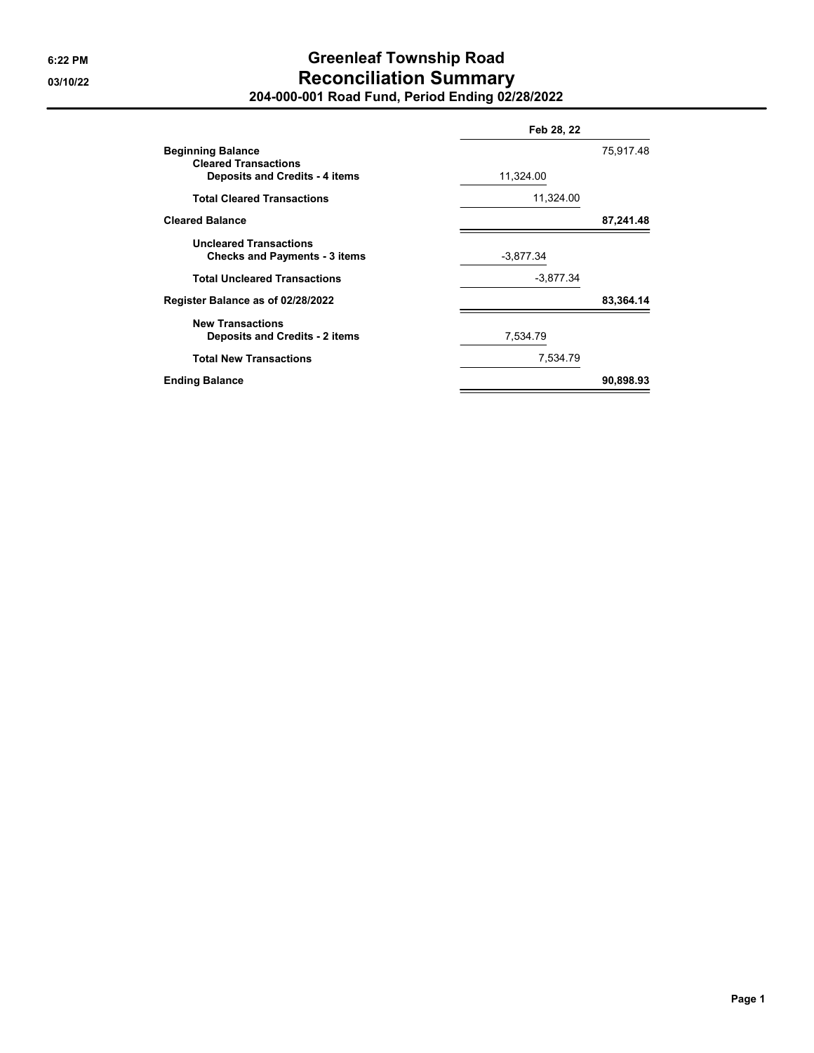## **6:22 PM Greenleaf Township Road 03/10/22 Reconciliation Summary 204-000-001 Road Fund, Period Ending 02/28/2022**

|                                                                       | Feb 28, 22  |           |  |
|-----------------------------------------------------------------------|-------------|-----------|--|
| <b>Beginning Balance</b><br><b>Cleared Transactions</b>               | 75,917.48   |           |  |
| <b>Deposits and Credits - 4 items</b>                                 | 11,324.00   |           |  |
| <b>Total Cleared Transactions</b>                                     | 11,324.00   |           |  |
| <b>Cleared Balance</b>                                                |             | 87,241.48 |  |
| <b>Uncleared Transactions</b><br><b>Checks and Payments - 3 items</b> | $-3,877.34$ |           |  |
| <b>Total Uncleared Transactions</b>                                   | $-3,877.34$ |           |  |
| Register Balance as of 02/28/2022                                     |             | 83,364.14 |  |
| <b>New Transactions</b><br><b>Deposits and Credits - 2 items</b>      | 7,534.79    |           |  |
| <b>Total New Transactions</b>                                         | 7,534.79    |           |  |
| <b>Ending Balance</b>                                                 |             | 90,898.93 |  |